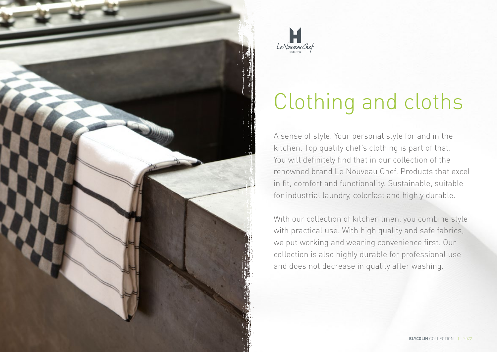



# Clothing and cloths

A sense of style. Your personal style for and in the kitchen. Top quality chef's clothing is part of that. You will definitely find that in our collection of the renowned brand Le Nouveau Chef. Products that excel in fit, comfort and functionality. Sustainable, suitable for industrial laundry, colorfast and highly durable.

With our collection of kitchen linen, you combine style with practical use. With high quality and safe fabrics, we put working and wearing convenience first. Our collection is also highly durable for professional use and does not decrease in quality after washing.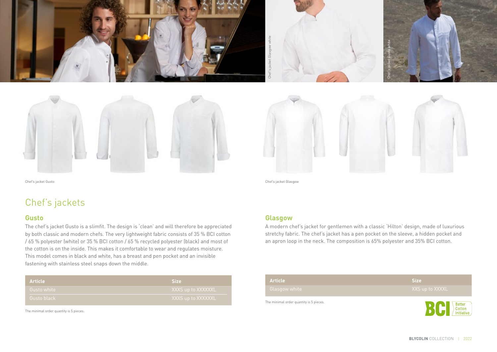





Chef's jacket Gusto Chef's jacket Glasgow

## Chef's jackets

#### **Gusto**

The chef's jacket Gusto is a slimfit. The design is 'clean' and will therefore be appreciated by both classic and modern chefs. The very lightweight fabric consists of 35 % BCI cotton / 65 % polyester (white) or 35 % BCI cotton / 65 % recycled polyester (black) and most of the cotton is on the inside. This makes it comfortable to wear and regulates moisture. This model comes in black and white, has a breast and pen pocket and an invisible fastening with stainless steel snaps down the middle.

| <b>Article</b> | <b>Size</b>        |
|----------------|--------------------|
| Gusto white    | XXXS up to XXXXXXL |
| Gusto black    | XXXS up to XXXXXXL |

The minimal order quantity is 5 pieces.

Bridge and Sales and Sales and Sales and Sales and Sales and Sales and Sales and Sales and Sales and Sales and Article<br>Chef's jacket Glasgow<br>A modern chef's jacket for stretchy fabric. The chef's<br>an apron loop in the neck.

#### **Glasgow**

A modern chef's jacket for gentlemen with a classic 'Hilton' design, made of luxurious stretchy fabric. The chef's jacket has a pen pocket on the sleeve, a hidden pocket and an apron loop in the neck. The composition is 65% polyester and 35% BCI cotton.

| Article                                 | <b>Size</b>                    |
|-----------------------------------------|--------------------------------|
| Glasgow white                           | XXS up to XXXXL                |
| The minimal order quantity is 5 pieces. | Better<br>Cotton<br>Initiative |

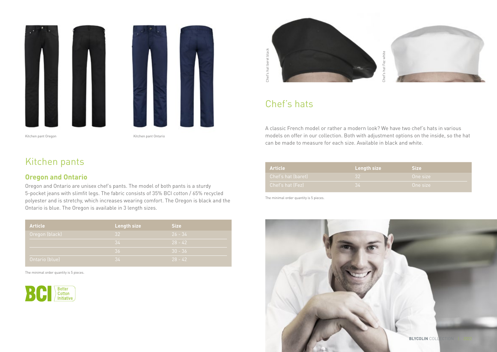

Kitchen pant Oregon **Kitchen pant Ontario** 

## Kitchen pants

#### **Oregon and Ontario**

Oregon and Ontario are unisex chef's pants. The model of both pants is a sturdy 5-pocket jeans with slimfit legs. The fabric consists of 35% BCI cotton / 65% recycled polyester and is stretchy, which increases wearing comfort. The Oregon is black and the Ontario is blue. The Oregon is available in 3 length sizes.

| <b>Article</b> | <b>Length size</b> | <b>Size</b> |
|----------------|--------------------|-------------|
| Oregon (black) | 32                 | $26 - 34$   |
|                | -34                | $28 - 42$   |
|                | $\overline{36}$    | $30 - 36$   |
| Ontario (blue) | 34                 | $28 - 42$   |

The minimal order quantity is 5 pieces.







## Chef's hats

A classic French model or rather a modern look? We have two chef's hats in various models on offer in our collection. Both with adjustment options on the inside, so the hat can be made to measure for each size. Available in black and white.

| <b>Article</b>     | Length size     | Size .   |
|--------------------|-----------------|----------|
| Chef's hat (baret) | 32 <sub>1</sub> | One size |
| Chef's hat (Fez)   | .34             | One size |